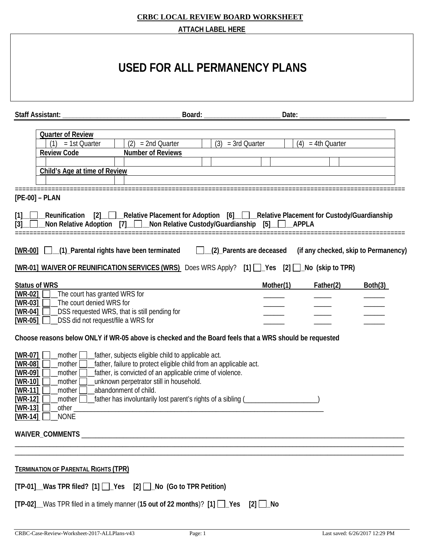|                                                                                                                                                                                                                                                                                                                   |                                                                                                                                                                                                                                                         | <b>ATTACH LABEL HERE</b> |                     |                     |                                      |
|-------------------------------------------------------------------------------------------------------------------------------------------------------------------------------------------------------------------------------------------------------------------------------------------------------------------|---------------------------------------------------------------------------------------------------------------------------------------------------------------------------------------------------------------------------------------------------------|--------------------------|---------------------|---------------------|--------------------------------------|
|                                                                                                                                                                                                                                                                                                                   | USED FOR ALL PERMANENCY PLANS                                                                                                                                                                                                                           |                          |                     |                     |                                      |
| <b>Staff Assistant:</b>                                                                                                                                                                                                                                                                                           | Board:                                                                                                                                                                                                                                                  |                          | Date:               |                     |                                      |
| <b>Quarter of Review</b><br>= 1st Quarter<br><b>Review Code</b><br>Child's Age at time of Review                                                                                                                                                                                                                  | (2)<br>$= 2nd$ Quarter<br><b>Number of Reviews</b>                                                                                                                                                                                                      | (3)<br>$=$ 3rd Quarter   |                     | $(4) = 4th$ Quarter |                                      |
| $[PE-00] - PLAN$<br>$[1]$<br>[3]<br>[WR-00] [ (1) Parental rights have been terminated [ (2) Parents are deceased<br>[WR-01] WAIVER OF REUNIFICATION SERVICES (WRS) Does WRS Apply? [1] \[ __ Yes [2] \[ __ No (skip to TPR)                                                                                      | Reunification [2] Relative Placement for Adoption [6] Relative Placement for Custody/Guardianship Reunification<br>Non Relative Adoption [7] Non Relative Custody/Guardianship                                                                          |                          | [5]<br><b>APPLA</b> |                     | (if any checked, skip to Permanency) |
| <b>Status of WRS</b><br>$[WR-02]$<br>The court has granted WRS for<br>The court denied WRS for<br>$[WR-03]$<br>$[WR-04]$<br>_DSS did not request/file a WRS for<br>$[WR-05]$                                                                                                                                      | _DSS requested WRS, that is still pending for                                                                                                                                                                                                           |                          | Mother(1)           | Father(2)           | Both(3)                              |
| Choose reasons below ONLY if WR-05 above is checked and the Board feels that a WRS should be requested<br>$[WR-07]$<br>_mother $\Box$<br>[WR-08]<br>mother<br>$[WR-09]$<br>mother [<br>$[WR-10]$<br>mother<br>$[WR-11]$<br>mother<br>$[WR-12]$<br>mother  <br>$[WR-13]$<br>_other _<br><b>NONE</b><br>[ $WR-14$ ] | father, subjects eligible child to applicable act.<br>father, failure to protect eligible child from an applicable act.<br>father, is convicted of an applicable crime of violence.<br>unknown perpetrator still in household.<br>abandonment of child. |                          |                     |                     |                                      |
|                                                                                                                                                                                                                                                                                                                   |                                                                                                                                                                                                                                                         |                          |                     |                     |                                      |
| <b>TERMINATION OF PARENTAL RIGHTS (TPR)</b><br>[TP-01]_Was TPR filed? [1] []_Yes [2] []_No (Go to TPR Petition)<br>$[TP-02]$ Was TPR filed in a timely manner (15 out of 22 months)? $[1]$ $\Box$ Yes $[2]$ $\Box$ No                                                                                             |                                                                                                                                                                                                                                                         |                          |                     |                     |                                      |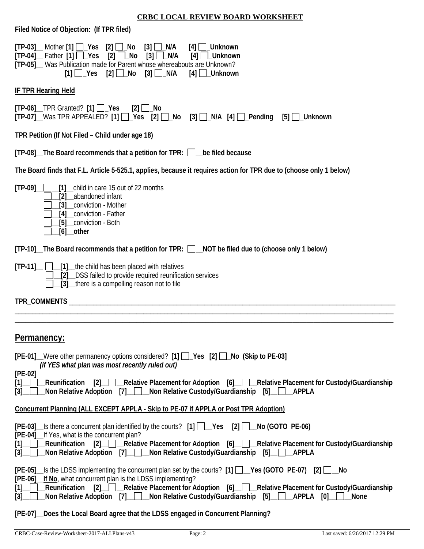| Filed Notice of Objection: (If TPR filed)                                                                                                                                                                                                                                                                                                                                                                                         |
|-----------------------------------------------------------------------------------------------------------------------------------------------------------------------------------------------------------------------------------------------------------------------------------------------------------------------------------------------------------------------------------------------------------------------------------|
| $[TP-03]$ Mother $[1]$ $\Box$ Yes $[2]$ $\Box$ No<br>$[3]$ $\Box$ N/A<br>$[4]$ $\Box$ _Unknown<br>[2] $\Box$ No<br>$[TP-04]$ Father $[1]$ $\sqrt{$ Yes<br>$[3]$ $\Box$ N/A<br>$[4]$ $\Box$ _Unknown<br>[TP-05] Was Publication made for Parent whose whereabouts are Unknown?<br>$\lceil 1 \rceil$ Yes $\lceil 2 \rceil$ No $\lceil 3 \rceil$ N/A<br>$[4]$ $\Box$ _Unknown                                                        |
| <b>IF TPR Hearing Held</b>                                                                                                                                                                                                                                                                                                                                                                                                        |
| $[TP-06]$ TPR Granted? $[1]$ $\Box$ Yes<br>[2] $□$ _No<br>[TP-07] Was TPR APPEALED? [1]   Yes [2]   No [3]   N/A [4]   Pending [5]   Unknown                                                                                                                                                                                                                                                                                      |
| TPR Petition (If Not Filed - Child under age 18)                                                                                                                                                                                                                                                                                                                                                                                  |
| [TP-08] The Board recommends that a petition for TPR: D be filed because                                                                                                                                                                                                                                                                                                                                                          |
| The Board finds that F.L. Article 5-525.1, applies, because it requires action for TPR due to (choose only 1 below)                                                                                                                                                                                                                                                                                                               |
| $[TP-09]$<br>[1] child in care 15 out of 22 months<br>abandoned infant<br>[2]<br>conviction - Mother<br>[4] conviction - Father<br>[5] conviction - Both<br>$[6]$ other                                                                                                                                                                                                                                                           |
| [TP-10]_The Board recommends that a petition for TPR: □_NOT be filed due to (choose only 1 below)                                                                                                                                                                                                                                                                                                                                 |
| _[1] __ the child has been placed with relatives<br>$[TP-11]$<br>_DSS failed to provide required reunification services<br>[3] there is a compelling reason not to file                                                                                                                                                                                                                                                           |
|                                                                                                                                                                                                                                                                                                                                                                                                                                   |
|                                                                                                                                                                                                                                                                                                                                                                                                                                   |
| Permanency:                                                                                                                                                                                                                                                                                                                                                                                                                       |
| [PE-01] Were other permanency options considered? [1] D Yes [2] D No (Skip to PE-03]<br>(if YES what plan was most recently ruled out)                                                                                                                                                                                                                                                                                            |
| $[PE-02]$<br>[2] Relative Placement for Adoption [6] Relative Placement for Custody/Guardianship<br>[1]<br>Reunification<br>Non Relative Adoption [7] Non Relative Custody/Guardianship [5]<br><b>APPLA</b><br>$[3]$ _ $\Box$                                                                                                                                                                                                     |
| <b>Concurrent Planning (ALL EXCEPT APPLA - Skip to PE-07 if APPLA or Post TPR Adoption)</b>                                                                                                                                                                                                                                                                                                                                       |
| $[PE-03]$ Is there a concurrent plan identified by the courts? $[1]$ $\Box$ Yes $[2]$ $\Box$ No (GOTO PE-06)<br>[PE-04]_If Yes, what is the concurrent plan?<br>[1] Reunification [2] Relative Placement for Adoption [6] Relative Placement for Custody/Guardianship<br>Non Relative Adoption [7] __ Non Relative Custody/Guardianship [5] __ __________<br>$\left[3\right]$ $\left  \right $                                    |
| $[PE-05]$ Is the LDSS implementing the concurrent plan set by the courts? $[1]$ $\Box$ Yes (GOTO PE-07) $[2]$ $\Box$ No<br>[PE-06] If No, what concurrent plan is the LDSS implementing?<br>[2] Relative Placement for Adoption [6] Relative Placement for Custody/Guardianship<br>Reunification<br>[1]<br>Non Relative Adoption [7] _ _ _ Non Relative Custody/Guardianship [5] _ _ _ _ _ _ _ _ _ _ _ _ _ _ _ _<br>$[3]$<br>None |

## **[PE-07]\_\_Does the Local Board agree that the LDSS engaged in Concurrent Planning?**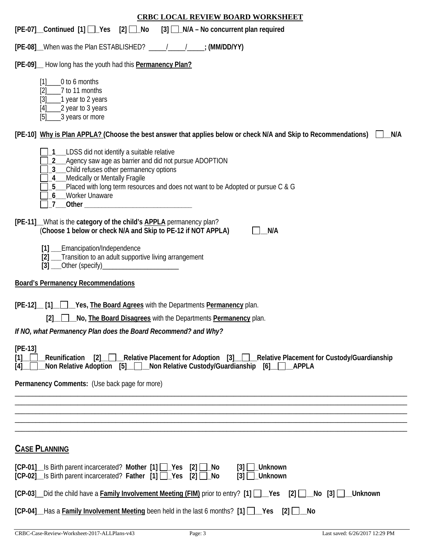| <b>CRBC LOCAL REVIEW BOARD WORKSHEET</b>                                                                                                                                                                                                                                                                                                            |
|-----------------------------------------------------------------------------------------------------------------------------------------------------------------------------------------------------------------------------------------------------------------------------------------------------------------------------------------------------|
| [PE-07] Continued [1] Yes [2] No [3] N/A – No concurrent plan required                                                                                                                                                                                                                                                                              |
| [PE-08] When was the Plan ESTABLISHED? _____________________; (MM/DD/YY)                                                                                                                                                                                                                                                                            |
| [PE-09]_ How long has the youth had this Permanency Plan?                                                                                                                                                                                                                                                                                           |
| 0 to 6 months<br>$[1]$<br>7 to 11 months<br>[2]<br>___1 year to 2 years<br>$[3]$<br>2 year to 3 years<br>$[4]$<br>3 years or more<br>[5]                                                                                                                                                                                                            |
| [PE-10] Why is Plan APPLA? (Choose the best answer that applies below or check N/A and Skip to Recommendations)<br>N/A                                                                                                                                                                                                                              |
| 1__LDSS did not identify a suitable relative<br>2_ Agency saw age as barrier and did not pursue ADOPTION<br>3_ Child refuses other permanency options<br>4_Medically or Mentally Fragile<br>5_Placed with long term resources and does not want to be Adopted or pursue C & G<br>6_Worker Unaware<br>_7___Other ___________________________________ |
| [PE-11] What is the category of the child's <b>APPLA</b> permanency plan?<br>(Choose 1 below or check N/A and Skip to PE-12 if NOT APPLA)<br>N/A                                                                                                                                                                                                    |
| [1] __Emancipation/Independence<br>[2] __Transition to an adult supportive living arrangement                                                                                                                                                                                                                                                       |
| <b>Board's Permanency Recommendations</b>                                                                                                                                                                                                                                                                                                           |
| [PE-12] [1] Yes, The Board Agrees with the Departments Permanency plan.<br>No, The Board Disagrees with the Departments Permanency plan.<br>$\lceil 2 \rceil$<br>If NO, what Permanency Plan does the Board Recommend? and Why?                                                                                                                     |
| $[PE-13]$                                                                                                                                                                                                                                                                                                                                           |
| [2] Relative Placement for Adoption [3] Relative Placement for Custody/Guardianship<br><b>Reunification</b><br>[1]<br>Non Relative Adoption [5] Non Relative Custody/Guardianship [6] APPLA<br>[4]                                                                                                                                                  |
| Permanency Comments: (Use back page for more)                                                                                                                                                                                                                                                                                                       |
|                                                                                                                                                                                                                                                                                                                                                     |
|                                                                                                                                                                                                                                                                                                                                                     |
|                                                                                                                                                                                                                                                                                                                                                     |
| <b>CASE PLANNING</b>                                                                                                                                                                                                                                                                                                                                |
| [CP-01] Is Birth parent incarcerated? Mother [1] Pes [2] L No<br>$[3]$ $\Box$ Unknown<br>[CP-02] Is Birth parent incarcerated? Father [1] Ps [2] Lo<br>$[3]$ $\Box$ Unknown                                                                                                                                                                         |
| [CP-03] Did the child have a Family Involvement Meeting (FIM) prior to entry? [1] __Yes [2] __No [3] __Unknown                                                                                                                                                                                                                                      |
| $[CP-04]$ Has a Family Involvement Meeting been held in the last 6 months? $[1]$ $[2]$ $[2]$ $[3]$                                                                                                                                                                                                                                                  |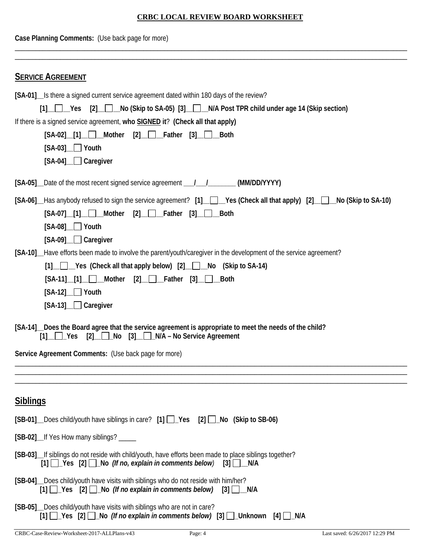| Case Planning Comments: (Use back page for more)                                                                                                                                                                                                                                                                                              |  |  |  |  |
|-----------------------------------------------------------------------------------------------------------------------------------------------------------------------------------------------------------------------------------------------------------------------------------------------------------------------------------------------|--|--|--|--|
| <b>SERVICE AGREEMENT</b>                                                                                                                                                                                                                                                                                                                      |  |  |  |  |
| [SA-01] Is there a signed current service agreement dated within 180 days of the review?<br>[1] Yes [2] No (Skip to SA-05) [3] N/A Post TPR child under age 14 (Skip section)<br>If there is a signed service agreement, who SIGNED it? (Check all that apply)<br>$[SA-02]$ [1] Mother<br><b>Both</b><br>$[SA-03]$ Youth<br>[SA-04] Caregiver |  |  |  |  |
|                                                                                                                                                                                                                                                                                                                                               |  |  |  |  |
| [SA-06] Has anybody refused to sign the service agreement? [1] [Corress (Check all that apply) [2] No (Skip to SA-10)<br>$[SA-07]$ [1] Mother $[2]$ Father $[3]$ Both<br>$[SA-08]$ Youth<br>[SA-09] Caregiver                                                                                                                                 |  |  |  |  |
| [SA-10] Have efforts been made to involve the parent/youth/caregiver in the development of the service agreement?<br>[1] Yes (Check all that apply below) [2] No (Skip to SA-14)<br>$[SA-11]$ $[1]$ Mother<br>$[2]$ Father $[3]$<br>Both<br>$[SA-12]$ Youth<br>$[SA-13]$ Caregiver                                                            |  |  |  |  |
| [SA-14] Does the Board agree that the service agreement is appropriate to meet the needs of the child?<br>$[2]$ No $[3]$ N/A – No Service Agreement                                                                                                                                                                                           |  |  |  |  |
| Service Agreement Comments: (Use back page for more)                                                                                                                                                                                                                                                                                          |  |  |  |  |
|                                                                                                                                                                                                                                                                                                                                               |  |  |  |  |
| <b>Siblings</b>                                                                                                                                                                                                                                                                                                                               |  |  |  |  |
| [SB-01] Does child/youth have siblings in care? [1] Pes [2] No (Skip to SB-06)                                                                                                                                                                                                                                                                |  |  |  |  |
| [SB-02]_If Yes How many siblings? _____                                                                                                                                                                                                                                                                                                       |  |  |  |  |
| [SB-03] If siblings do not reside with child/youth, have efforts been made to place siblings together?<br>$[1]$ $\Box$ Yes $[2]$ $\Box$ No (If no, explain in comments below)<br>$[3]$ $\Box$ N/A                                                                                                                                             |  |  |  |  |
| [SB-04]_Does child/youth have visits with siblings who do not reside with him/her?<br>$[1]$ $\Box$ Yes $[2]$ $\Box$ No (If no explain in comments below) $[3]$ $\Box$ N/A                                                                                                                                                                     |  |  |  |  |
| [SB-05] Does child/youth have visits with siblings who are not in care?<br>[1] [2] Yes [2] [2] No (If no explain in comments below) [3] [2] Unknown [4] [2] N/A                                                                                                                                                                               |  |  |  |  |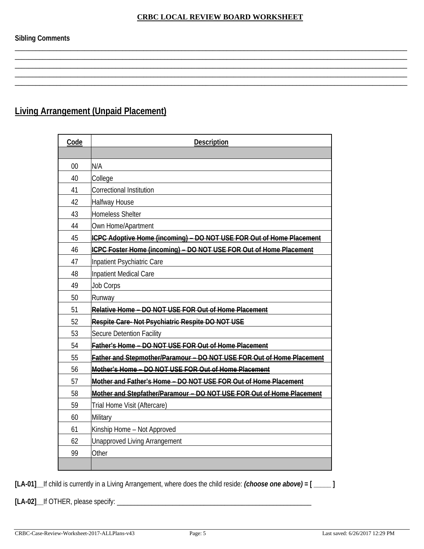\_\_\_\_\_\_\_\_\_\_\_\_\_\_\_\_\_\_\_\_\_\_\_\_\_\_\_\_\_\_\_\_\_\_\_\_\_\_\_\_\_\_\_\_\_\_\_\_\_\_\_\_\_\_\_\_\_\_\_\_\_\_\_\_\_\_\_\_\_\_\_\_\_\_\_\_\_\_\_\_\_\_\_\_\_\_\_\_\_\_\_\_\_\_\_\_\_\_\_\_\_\_\_\_\_\_\_\_\_\_\_\_\_ \_\_\_\_\_\_\_\_\_\_\_\_\_\_\_\_\_\_\_\_\_\_\_\_\_\_\_\_\_\_\_\_\_\_\_\_\_\_\_\_\_\_\_\_\_\_\_\_\_\_\_\_\_\_\_\_\_\_\_\_\_\_\_\_\_\_\_\_\_\_\_\_\_\_\_\_\_\_\_\_\_\_\_\_\_\_\_\_\_\_\_\_\_\_\_\_\_\_\_\_\_\_\_\_\_\_\_\_\_\_\_\_\_ \_\_\_\_\_\_\_\_\_\_\_\_\_\_\_\_\_\_\_\_\_\_\_\_\_\_\_\_\_\_\_\_\_\_\_\_\_\_\_\_\_\_\_\_\_\_\_\_\_\_\_\_\_\_\_\_\_\_\_\_\_\_\_\_\_\_\_\_\_\_\_\_\_\_\_\_\_\_\_\_\_\_\_\_\_\_\_\_\_\_\_\_\_\_\_\_\_\_\_\_\_\_\_\_\_\_\_\_\_\_\_\_\_ \_\_\_\_\_\_\_\_\_\_\_\_\_\_\_\_\_\_\_\_\_\_\_\_\_\_\_\_\_\_\_\_\_\_\_\_\_\_\_\_\_\_\_\_\_\_\_\_\_\_\_\_\_\_\_\_\_\_\_\_\_\_\_\_\_\_\_\_\_\_\_\_\_\_\_\_\_\_\_\_\_\_\_\_\_\_\_\_\_\_\_\_\_\_\_\_\_\_\_\_\_\_\_\_\_\_\_\_\_\_\_\_\_ \_\_\_\_\_\_\_\_\_\_\_\_\_\_\_\_\_\_\_\_\_\_\_\_\_\_\_\_\_\_\_\_\_\_\_\_\_\_\_\_\_\_\_\_\_\_\_\_\_\_\_\_\_\_\_\_\_\_\_\_\_\_\_\_\_\_\_\_\_\_\_\_\_\_\_\_\_\_\_\_\_\_\_\_\_\_\_\_\_\_\_\_\_\_\_\_\_\_\_\_\_\_\_\_\_\_\_\_\_\_\_\_\_

**Sibling Comments**

# **Living Arrangement (Unpaid Placement)**

| Code | <b>Description</b>                                                    |
|------|-----------------------------------------------------------------------|
|      |                                                                       |
| 00   | N/A                                                                   |
| 40   | College                                                               |
| 41   | Correctional Institution                                              |
| 42   | <b>Halfway House</b>                                                  |
| 43   | <b>Homeless Shelter</b>                                               |
| 44   | Own Home/Apartment                                                    |
| 45   | ICPC Adoptive Home (incoming) - DO NOT USE FOR Out of Home Placement  |
| 46   | ICPC Foster Home (incoming) - DO NOT USE FOR Out of Home Placement    |
| 47   | Inpatient Psychiatric Care                                            |
| 48   | Inpatient Medical Care                                                |
| 49   | <b>Job Corps</b>                                                      |
| 50   | Runway                                                                |
| 51   | Relative Home - DO NOT USE FOR Out of Home Placement                  |
| 52   | Respite Care-Not Psychiatric Respite DO NOT USE                       |
| 53   | Secure Detention Facility                                             |
| 54   | Father's Home - DO NOT USE FOR Out of Home Placement                  |
| 55   | Father and Stepmother/Paramour - DO NOT USE FOR Out of Home Placement |
| 56   | Mother's Home - DO NOT USE FOR Out of Home Placement                  |
| 57   | Mother and Father's Home - DO NOT USE FOR Out of Home Placement       |
| 58   | Mother and Stepfather/Paramour - DO NOT USE FOR Out of Home Placement |
| 59   | Trial Home Visit (Aftercare)                                          |
| 60   | Military                                                              |
| 61   | Kinship Home - Not Approved                                           |
| 62   | <b>Unapproved Living Arrangement</b>                                  |
| 99   | Other                                                                 |
|      |                                                                       |

**[LA-01]\_\_**If child is currently in a Living Arrangement, where does the child reside: *(choose one above)* **= [ \_\_\_\_\_ ]**

**[LA-02]\_\_**If OTHER, please specify: \_\_\_\_\_\_\_\_\_\_\_\_\_\_\_\_\_\_\_\_\_\_\_\_\_\_\_\_\_\_\_\_\_\_\_\_\_\_\_\_\_\_\_\_\_\_\_\_\_\_\_\_\_\_\_\_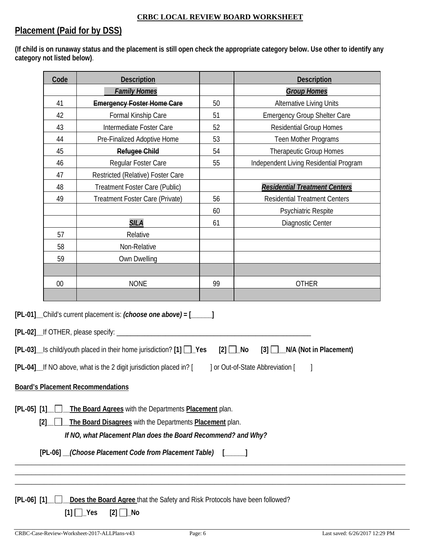# **Placement (Paid for by DSS)**

**(If child is on runaway status and the placement is still open check the appropriate category below. Use other to identify any category not listed below)**.

|                 | Code<br><b>Description</b> |                                                                                                                                                                                                                                                                    |    | <b>Description</b>                                                                         |  |
|-----------------|----------------------------|--------------------------------------------------------------------------------------------------------------------------------------------------------------------------------------------------------------------------------------------------------------------|----|--------------------------------------------------------------------------------------------|--|
|                 |                            | <b>Family Homes</b>                                                                                                                                                                                                                                                |    | <b>Group Homes</b>                                                                         |  |
|                 | 41                         | <b>Emergency Foster Home Care</b>                                                                                                                                                                                                                                  | 50 | Alternative Living Units                                                                   |  |
|                 | 42                         | Formal Kinship Care                                                                                                                                                                                                                                                | 51 | <b>Emergency Group Shelter Care</b>                                                        |  |
|                 | 43                         | Intermediate Foster Care                                                                                                                                                                                                                                           | 52 | <b>Residential Group Homes</b>                                                             |  |
|                 | 44                         | Pre-Finalized Adoptive Home                                                                                                                                                                                                                                        | 53 | Teen Mother Programs                                                                       |  |
|                 | 45                         | <b>Refugee Child</b>                                                                                                                                                                                                                                               | 54 | Therapeutic Group Homes                                                                    |  |
|                 | 46                         | Regular Foster Care                                                                                                                                                                                                                                                | 55 | Independent Living Residential Program                                                     |  |
|                 | 47                         | Restricted (Relative) Foster Care                                                                                                                                                                                                                                  |    |                                                                                            |  |
|                 | 48                         | Treatment Foster Care (Public)                                                                                                                                                                                                                                     |    | <b>Residential Treatment Centers</b>                                                       |  |
|                 | 49                         | Treatment Foster Care (Private)                                                                                                                                                                                                                                    | 56 | <b>Residential Treatment Centers</b>                                                       |  |
|                 |                            |                                                                                                                                                                                                                                                                    | 60 | Psychiatric Respite                                                                        |  |
|                 |                            | <b>SILA</b>                                                                                                                                                                                                                                                        | 61 | Diagnostic Center                                                                          |  |
|                 | 57                         | Relative                                                                                                                                                                                                                                                           |    |                                                                                            |  |
|                 | 58                         | Non-Relative                                                                                                                                                                                                                                                       |    |                                                                                            |  |
|                 | 59                         | Own Dwelling                                                                                                                                                                                                                                                       |    |                                                                                            |  |
|                 |                            |                                                                                                                                                                                                                                                                    |    |                                                                                            |  |
|                 | 00                         | <b>NONE</b>                                                                                                                                                                                                                                                        | 99 | <b>OTHER</b>                                                                               |  |
|                 |                            |                                                                                                                                                                                                                                                                    |    |                                                                                            |  |
|                 |                            | [PL-01] _Child's current placement is: (choose one above) = [_____]<br>[PL-02]__If OTHER, please specify: __<br>$[PL-03]$ Is child/youth placed in their home jurisdiction? $[1]$ $\Box$ Yes<br>[PL-04] If NO above, what is the 2 digit jurisdiction placed in? [ |    | $[2]$ $\Box$ No<br>$[3]$ $\Box$ N/A (Not in Placement)<br>] or Out-of-State Abbreviation [ |  |
|                 |                            |                                                                                                                                                                                                                                                                    |    |                                                                                            |  |
|                 |                            | <b>Board's Placement Recommendations</b>                                                                                                                                                                                                                           |    |                                                                                            |  |
| $[PL-05]$ $[1]$ | [2]                        | The Board Agrees with the Departments Placement plan.<br>The Board Disagrees with the Departments Placement plan.<br>If NO, what Placement Plan does the Board Recommend? and Why?                                                                                 |    |                                                                                            |  |
|                 |                            | [PL-06] _(Choose Placement Code from Placement Table) [____]                                                                                                                                                                                                       |    |                                                                                            |  |
|                 |                            |                                                                                                                                                                                                                                                                    |    |                                                                                            |  |
|                 |                            |                                                                                                                                                                                                                                                                    |    |                                                                                            |  |
|                 |                            |                                                                                                                                                                                                                                                                    |    |                                                                                            |  |
| $[PL-06]$ $[1]$ |                            | Does the Board Agree that the Safety and Risk Protocols have been followed?                                                                                                                                                                                        |    |                                                                                            |  |
|                 |                            | $[1]$ $\Box$ Yes<br>$[2]$ $\Box$ No                                                                                                                                                                                                                                |    |                                                                                            |  |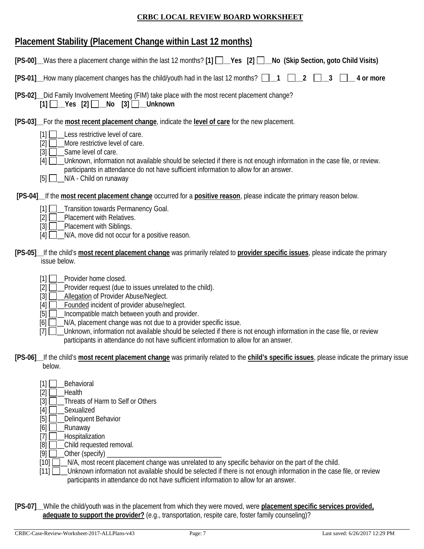### **Placement Stability (Placement Change within Last 12 months)**

| [PS-00]_Was there a placement change within the last 12 months? [1] []__Yes [2] []_No (Skip Section, goto Child Visits)                                                                                                                                                                                                                                                                                                                                                                                                                                                    |
|----------------------------------------------------------------------------------------------------------------------------------------------------------------------------------------------------------------------------------------------------------------------------------------------------------------------------------------------------------------------------------------------------------------------------------------------------------------------------------------------------------------------------------------------------------------------------|
| [PS-01] How many placement changes has the child/youth had in the last 12 months?<br>2<br>4 or more                                                                                                                                                                                                                                                                                                                                                                                                                                                                        |
| [PS-02] _ Did Family Involvement Meeting (FIM) take place with the most recent placement change?<br>$[1]$ $\Box$ Yes $[2]$ $\Box$ No $[3]$ $\Box$ Unknown                                                                                                                                                                                                                                                                                                                                                                                                                  |
| [PS-03] For the most recent placement change, indicate the level of care for the new placement.<br>Less restrictive level of care.<br>$\lceil 1 \rceil$<br>More restrictive level of care.<br>[2]<br>Same level of care.<br>$[3]$<br>Unknown, information not available should be selected if there is not enough information in the case file, or review.<br>[4]<br>participants in attendance do not have sufficient information to allow for an answer.<br>N/A - Child on runaway<br>$[5]$ $\Box$                                                                       |
| [PS-04] If the most recent placement change occurred for a positive reason, please indicate the primary reason below.                                                                                                                                                                                                                                                                                                                                                                                                                                                      |
| $[1]$ $\Box$<br>_Transition towards Permanency Goal.<br>Placement with Relatives.<br>$\left[2\right]$<br>Placement with Siblings.<br>$[3]$<br>N/A, move did not occur for a positive reason.<br>[4]                                                                                                                                                                                                                                                                                                                                                                        |
| [PS-05] If the child's most recent placement change was primarily related to provider specific issues, please indicate the primary<br>issue below.                                                                                                                                                                                                                                                                                                                                                                                                                         |
| Provider home closed.<br>[1]<br>$[2]$<br>Provider request (due to issues unrelated to the child).<br>$[3]$<br>Allegation of Provider Abuse/Neglect.<br>Founded incident of provider abuse/neglect.<br>$[4]$<br>Incompatible match between youth and provider.<br>$[5]$<br>N/A, placement change was not due to a provider specific issue.<br>[6]<br>Unknown, information not available should be selected if there is not enough information in the case file, or review<br>$[7]$<br>participants in attendance do not have sufficient information to allow for an answer. |
| [PS-06] If the child's most recent placement change was primarily related to the child's specific issues, please indicate the primary issue<br>below.                                                                                                                                                                                                                                                                                                                                                                                                                      |
| Behavioral<br>[1]<br>$[2]$<br>Health<br>$[3]$<br>Threats of Harm to Self or Others<br>Sexualized<br>$[4]$<br>[5]<br>Delinquent Behavior<br>[6]<br>Runaway<br>Hospitalization<br>$[7]$<br>[8]<br>Child requested removal.                                                                                                                                                                                                                                                                                                                                                   |

- [9] \_\_Other (specify) \_\_\_\_\_\_\_\_\_\_\_\_\_\_\_\_\_\_\_\_\_\_\_\_\_\_\_\_\_\_\_\_\_
- [10]  $\Box$  N/A, most recent placement change was unrelated to any specific behavior on the part of the child.
- [11] **\_\_\_Unknown information not available should be selected if there is not enough information in the case file, or review** participants in attendance do not have sufficient information to allow for an answer.
- **[PS-07]\_\_**While the child/youth was in the placement from which they were moved, were **placement specific services provided, adequate to support the provider?** (e.g., transportation, respite care, foster family counseling)?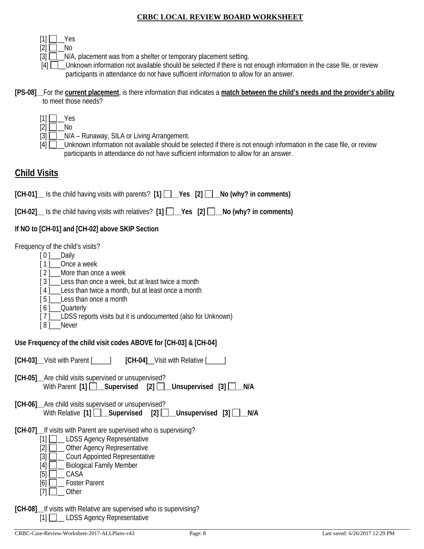- $[1] \Box$  Yes
- $[2]$   $\Box$  No
- $[3]$   $\Box$   $\Box$  N/A, placement was from a shelter or temporary placement setting.
- [4]  $\Box$  Unknown information not available should be selected if there is not enough information in the case file, or review participants in attendance do not have sufficient information to allow for an answer.

#### **[PS-08]\_\_**For the **current placement**, is there information that indicates a **match between the child's needs and the provider's ability** to meet those needs?

- $[1]$   $\Box$  Yes
- $[2]$  No
- [3]  $\Box$  N/A Runaway, SILA or Living Arrangement.
- [4]  $\Box$  Unknown information not available should be selected if there is not enough information in the case file, or review participants in attendance do not have sufficient information to allow for an answer.

# **Child Visits**

**[CH-01]\_\_** Is the child having visits with parents? **[1] \_\_Yes [2] \_\_No (why? in comments)**

**[CH-02]\_\_** Is the child having visits with relatives? **[1] \_\_Yes [2] \_\_No (why? in comments)**

### **If NO to [CH-01] and [CH-02] above SKIP Section**

Frequency of the child's visits?

- [ 0 ]\_\_\_\_Daily
- [1] Once a week
- [2] More than once a week
- [3] Less than once a week, but at least twice a month
- [4] Less than twice a month, but at least once a month
- [5] Less than once a month
- [6] Quarterly
- [7] LDSS reports visits but it is undocumented (also for Unknown)
- [8] Never

**Use Frequency of the child visit codes ABOVE for [CH-03] & [CH-04]** 

**[CH-03]\_\_**Visit with Parent [\_\_\_\_\_] **[CH-04]**\_\_Visit with Relative [\_\_\_\_\_]

- **[CH-05]\_\_**Are child visits supervised or unsupervised? With Parent **[1] \_\_Supervised [2] \_\_Unsupervised [3] \_\_N/A**
- **[CH-06]\_\_**Are child visits supervised or unsupervised? With Relative **[1]** Supervised **[2]** Unsupervised **[3]** N/A
- **[CH-07]\_\_**If visits with Parent are supervised who is supervising?
	- [1] **\_\_\_ LDSS Agency Representative**
	- [2] **Quality** Other Agency Representative
	- [3] **Q\_ Court Appointed Representative**
	- [4] **D** Biological Family Member
	- $[5]$   $\Box$  CASA
	- [6] **\_\_\_\_** Foster Parent
	- $[7]$   $\Box$  Other
- **[CH-08]\_\_**If visits with Relative are supervised who is supervising?  $[1]$  LDSS Agency Representative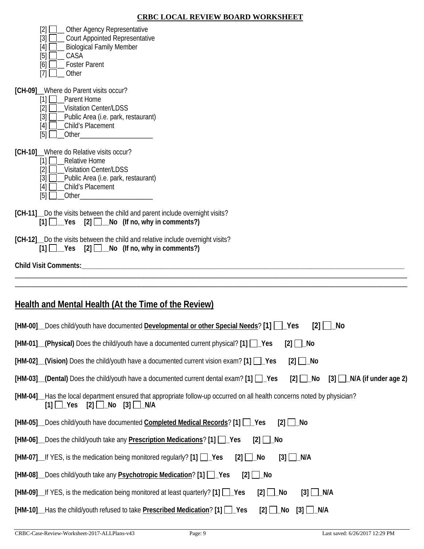| Other Agency Representative<br>$[2]$ $\Box$<br><b>Court Appointed Representative</b><br>[3]<br><b>Biological Family Member</b><br>[4]<br>$[5]$<br>CASA<br>[6]<br><b>Foster Parent</b><br>Other<br>[7]                                               |
|-----------------------------------------------------------------------------------------------------------------------------------------------------------------------------------------------------------------------------------------------------|
| [CH-09] Where do Parent visits occur?<br>Parent Home<br>[1]<br><b>Visitation Center/LDSS</b><br>[2]<br>Public Area (i.e. park, restaurant)<br>$\lceil 3 \rceil$<br>Child's Placement<br>[4]<br>$[5]$ Other $\qquad \qquad$ Other $\qquad \qquad$ 0. |
| [CH-10] Where do Relative visits occur?<br>[1] Relative Home<br><b>Visitation Center/LDSS</b><br>[2]<br>Public Area (i.e. park, restaurant)<br>[3]<br>Child's Placement<br>[4]<br>[5]<br>Other<br>$\mathbf{L}$                                      |
| [CH-11] Do the visits between the child and parent include overnight visits?<br>$[1]$ $\Box$ Yes $[2]$ $\Box$ No (If no, why in comments?)                                                                                                          |
| [CH-12] __ Do the visits between the child and relative include overnight visits?<br>$[1]$ $\Box$ Yes $[2]$ $\Box$ No (If no, why in comments?)                                                                                                     |
| Child Visit Comments:<br><u> 1980 - Jan Barbarat, margaret amerikan basar dan berasal dan berasal dan berasal dan berasal dan berasal dan</u>                                                                                                       |
|                                                                                                                                                                                                                                                     |
| <b>Health and Mental Health (At the Time of the Review)</b>                                                                                                                                                                                         |
| [HM-00] Does child/youth have documented Developmental or other Special Needs? [1]   Pes<br>No<br> 2                                                                                                                                                |
| [HM-01] (Physical) Does the child/youth have a documented current physical? [1] [ Yes<br>$[2]$ $\Box$ No                                                                                                                                            |
| $[HM-02]$ (Vision) Does the child/youth have a documented current vision exam? [1] $\Box$ Yes<br>$[2]$ $\Box$ No                                                                                                                                    |
| $[2]$ $\Box$ No<br>$[3]$ $\Box$ N/A (if under age 2)<br>$[HM-03]$ (Dental) Does the child/youth have a documented current dental exam? [1] $\Box$ Yes                                                                                               |
| [HM-04]__Has the local department ensured that appropriate follow-up occurred on all health concerns noted by physician?<br>$[2]$ $\Box$ No<br>$[1]$ $\Box$ Yes<br>[3] ∐_N/A                                                                        |
| [HM-05] Does child/youth have documented Completed Medical Records? [1] [ Yes<br>[2] $□$ No                                                                                                                                                         |
| [HM-06] Does the child/youth take any <b>Prescription Medications</b> ? [1] Pes<br>$[2]$ $\Box$ No                                                                                                                                                  |
| [HM-07] If YES, is the medication being monitored regularly? [1] Pes<br>$[3]$ $\Box$ N/A<br>$[2]$ $\Box$ No                                                                                                                                         |
| [HM-08] Does child/youth take any <b>Psychotropic Medication</b> ? [1] Pes<br>$[2]$ $\Box$ No                                                                                                                                                       |
| $[HM-09]$ If YES, is the medication being monitored at least quarterly? $[1]$ $\Box$ Yes<br>$[2]$ $\Box$ No<br>$[3]$ $\Box$ N/A                                                                                                                     |
| [HM-10] Has the child/youth refused to take <b>Prescribed Medication</b> ? [1] Pes<br>$[2]$ $\Box$ No $[3]$<br>_N/A                                                                                                                                 |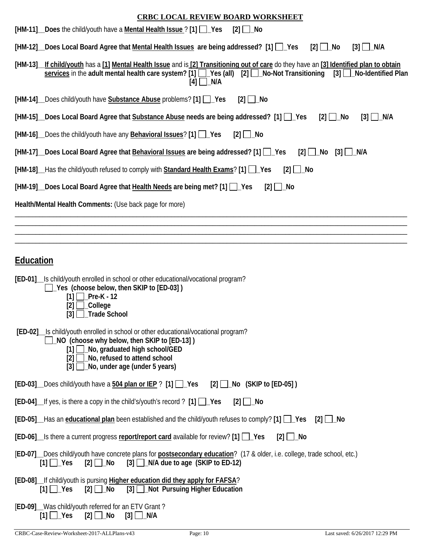| <b>CRBC LOCAL REVIEW BOARD WORKSHEET</b>                                                                                                                                                                                                                                                  |
|-------------------------------------------------------------------------------------------------------------------------------------------------------------------------------------------------------------------------------------------------------------------------------------------|
| [HM-11] Does the child/youth have a Mental Health Issue ? [1] Pes<br>$[2]$ No                                                                                                                                                                                                             |
| [HM-12] Does Local Board Agree that Mental Health Issues are being addressed? [1] [ Yes<br>$[2]$ $\Box$ No<br>$[3]$ $\Box$ N/A                                                                                                                                                            |
| [HM-13]_If child/youth has a [1] Mental Health Issue and is [2] Transitioning out of care do they have an [3] Identified plan to obtain<br>services in the adult mental health care system? [1] $\Box$ Yes (all) [2] $\Box$ No-Not Transitioning<br>$[3]$ No-Identified Plan<br>$[4]$ N/A |
| [HM-14] _Does child/youth have Substance Abuse problems? [1] _J Yes<br>$[2]$ No                                                                                                                                                                                                           |
| [HM-15] Does Local Board Agree that Substance Abuse needs are being addressed? [1] \[ _] Yes<br>$[2]$ $\Box$ No<br>$[3]$ $\Box$ N/A                                                                                                                                                       |
| [HM-16] Does the child/youth have any <b>Behavioral Issues</b> ? [1] <b>Passumes</b><br>$[2]$ $\Box$ No                                                                                                                                                                                   |
| [HM-17] Does Local Board Agree that Behavioral Issues are being addressed? [1] 1 Yes<br>$[2]$ $\Box$ No $[3]$ $\Box$ N/A                                                                                                                                                                  |
| [HM-18] Has the child/youth refused to comply with Standard Health Exams? [1] LYes<br>$[2]$ $\Box$ No                                                                                                                                                                                     |
| [HM-19] __ Does Local Board Agree that Health Needs are being met? [1] __ Yes<br>$[2]$ $\Box$ No                                                                                                                                                                                          |
| Health/Mental Health Comments: (Use back page for more)                                                                                                                                                                                                                                   |
|                                                                                                                                                                                                                                                                                           |
|                                                                                                                                                                                                                                                                                           |
| <b>Education</b>                                                                                                                                                                                                                                                                          |
| [ED-01] Is child/youth enrolled in school or other educational/vocational program?<br>□ Yes (choose below, then SKIP to [ED-03])<br>$[1]$ Pre-K - 12<br>$[2]$ $\Box$ College<br>$[3]$ Trade School                                                                                        |
| [ED-02] __ Is child/youth enrolled in school or other educational/vocational program?<br>NO (choose why below, then SKIP to [ED-13])<br>[1] No, graduated high school/GED                                                                                                                 |

- **[2] \_No, refused to attend school**
- **[3] \_No, under age (under 5 years)**

| [ED-03] _Does child/youth have a 504 plan or IEP ? [1] __Yes [2] __No (SKIP to [ED-05]) |  |  |
|-----------------------------------------------------------------------------------------|--|--|
|-----------------------------------------------------------------------------------------|--|--|

|  |  |  | [ED-04]_If yes, is there a copy in the child's/youth's record ? [1] []_Yes [2] []_No |  |  |  |
|--|--|--|--------------------------------------------------------------------------------------|--|--|--|
|--|--|--|--------------------------------------------------------------------------------------|--|--|--|

|  | [ED-05] _Has an educational plan been established and the child/youth refuses to comply? [1] [ Yes [2] [ No |  |
|--|-------------------------------------------------------------------------------------------------------------|--|
|--|-------------------------------------------------------------------------------------------------------------|--|

|  | [ED-06] _Is there a current progress report/report card available for review? [1] [ Ves [2] [ No |  |
|--|--------------------------------------------------------------------------------------------------|--|
|--|--------------------------------------------------------------------------------------------------|--|

|  |  |                                                                              | [ED-07] Does child/youth have concrete plans for postsecondary education? (17 & older, i.e. college, trade school, etc.) |  |
|--|--|------------------------------------------------------------------------------|--------------------------------------------------------------------------------------------------------------------------|--|
|  |  | $[1]$ $\Box$ Yes $[2]$ $\Box$ No $[3]$ $\Box$ N/A due to age (SKIP to ED-12) |                                                                                                                          |  |

|  |  | [ED-08]_If child/youth is pursing Higher education did they apply for FAFSA? |
|--|--|------------------------------------------------------------------------------|
|  |  | [1] Ves [2] No [3] Not Pursuing Higher Education                             |

|  |                                                   | [ED-09] Was child/youth referred for an ETV Grant? |
|--|---------------------------------------------------|----------------------------------------------------|
|  | $[1]$ $\Box$ Yes $[2]$ $\Box$ No $[3]$ $\Box$ N/A |                                                    |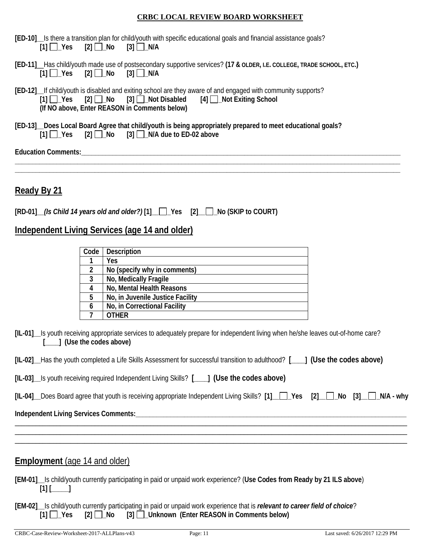|                                                                                  |  |  | [ED-10] Is there a transition plan for child/youth with specific educational goals and financial assistance goals? |
|----------------------------------------------------------------------------------|--|--|--------------------------------------------------------------------------------------------------------------------|
| $[1]$ $\begin{bmatrix}$ Yes $[2]$ $\end{bmatrix}$ No $[3]$ $\begin{bmatrix}$ N/A |  |  |                                                                                                                    |

|  |                                                   | [ED-11] _Has child/youth made use of postsecondary supportive services? (17 & OLDER, I.E. COLLEGE, TRADE SCHOOL, ETC.) |  |  |
|--|---------------------------------------------------|------------------------------------------------------------------------------------------------------------------------|--|--|
|  | $[1]$ $\Box$ Yes $[2]$ $\Box$ No $[3]$ $\Box$ N/A |                                                                                                                        |  |  |

|  |                                               | [ED-12] If child/youth is disabled and exiting school are they aware of and engaged with community supports? |  |
|--|-----------------------------------------------|--------------------------------------------------------------------------------------------------------------|--|
|  |                                               | $[1]$ Yes $[2]$ No $[3]$ Not Disabled $[4]$ Not Exiting School                                               |  |
|  | (If NO above, Enter REASON in Comments below) |                                                                                                              |  |

|  | [ED-13] Does Local Board Agree that child/youth is being appropriately prepared to meet educational goals? |
|--|------------------------------------------------------------------------------------------------------------|
|  | $[1]$ $\Box$ Yes $[2]$ $\Box$ No $[3]$ $\Box$ N/A due to ED-02 above                                       |

**\_\_\_\_\_\_\_\_\_\_\_\_\_\_\_\_\_\_\_\_\_\_\_\_\_\_\_\_\_\_\_\_\_\_\_\_\_\_\_\_\_\_\_\_\_\_\_\_\_\_\_\_\_\_\_\_\_\_\_\_\_\_\_\_\_\_\_\_\_\_\_\_\_\_\_\_\_\_\_\_\_\_\_\_\_\_\_\_\_\_\_\_\_\_\_\_\_\_\_\_\_\_\_\_\_\_\_\_\_\_\_ \_\_\_\_\_\_\_\_\_\_\_\_\_\_\_\_\_\_\_\_\_\_\_\_\_\_\_\_\_\_\_\_\_\_\_\_\_\_\_\_\_\_\_\_\_\_\_\_\_\_\_\_\_\_\_\_\_\_\_\_\_\_\_\_\_\_\_\_\_\_\_\_\_\_\_\_\_\_\_\_\_\_\_\_\_\_\_\_\_\_\_\_\_\_\_\_\_\_\_\_\_\_\_\_\_\_\_\_\_\_\_**

**Education Comments:\_\_\_\_\_\_\_\_\_\_\_\_\_\_\_\_\_\_\_\_\_\_\_\_\_\_\_\_\_\_\_\_\_\_\_\_\_\_\_\_\_\_\_\_\_\_\_\_\_\_\_\_\_\_\_\_\_\_\_\_\_\_\_\_\_\_\_\_\_\_\_\_\_\_\_\_\_\_\_\_\_\_\_\_\_\_\_\_\_\_\_\_**

**Ready By 21** 

|  | [RD-01] (Is Child 14 years old and older?) [1] Pes [2] No (SKIP to COURT) |  |  |  |
|--|---------------------------------------------------------------------------|--|--|--|
|--|---------------------------------------------------------------------------|--|--|--|

### **Independent Living Services (age 14 and older)**

| Code | <b>Description</b>               |
|------|----------------------------------|
|      | Yes                              |
| 2    | No (specify why in comments)     |
| 3    | No, Medically Fragile            |
|      | No, Mental Health Reasons        |
| 5    | No, in Juvenile Justice Facility |
| 6    | No, in Correctional Facility     |
|      | <b>.</b> THER                    |

**[IL-01]\_\_**Is youth receiving appropriate services to adequately prepare for independent living when he/she leaves out-of-home care? **[\_\_\_\_] (Use the codes above)**

|  |  |  | [IL-02] Has the youth completed a Life Skills Assessment for successful transition to adulthood? [ |  | [____] (Use the codes above) |
|--|--|--|----------------------------------------------------------------------------------------------------|--|------------------------------|
|--|--|--|----------------------------------------------------------------------------------------------------|--|------------------------------|

|  |  |  |  |  |  | [IL-03] Is youth receiving required Independent Living Skills? [1888] (Use the codes above) |
|--|--|--|--|--|--|---------------------------------------------------------------------------------------------|
|--|--|--|--|--|--|---------------------------------------------------------------------------------------------|

|  | [IL-04] Does Board agree that youth is receiving appropriate Independent Living Skills? [1] \[ Yes [2] \[ 2] No [3] \[ 2] N/A - why |  |  |  |  |  |  |
|--|-------------------------------------------------------------------------------------------------------------------------------------|--|--|--|--|--|--|
|--|-------------------------------------------------------------------------------------------------------------------------------------|--|--|--|--|--|--|

\_\_\_\_\_\_\_\_\_\_\_\_\_\_\_\_\_\_\_\_\_\_\_\_\_\_\_\_\_\_\_\_\_\_\_\_\_\_\_\_\_\_\_\_\_\_\_\_\_\_\_\_\_\_\_\_\_\_\_\_\_\_\_\_\_\_\_\_\_\_\_\_\_\_\_\_\_\_\_\_\_\_\_\_\_\_\_\_\_\_\_\_\_\_\_\_\_\_\_\_\_\_\_\_\_\_\_\_\_\_\_\_\_ \_\_\_\_\_\_\_\_\_\_\_\_\_\_\_\_\_\_\_\_\_\_\_\_\_\_\_\_\_\_\_\_\_\_\_\_\_\_\_\_\_\_\_\_\_\_\_\_\_\_\_\_\_\_\_\_\_\_\_\_\_\_\_\_\_\_\_\_\_\_\_\_\_\_\_\_\_\_\_\_\_\_\_\_\_\_\_\_\_\_\_\_\_\_\_\_\_\_\_\_\_\_\_\_\_\_\_\_\_\_\_\_\_ \_\_\_\_\_\_\_\_\_\_\_\_\_\_\_\_\_\_\_\_\_\_\_\_\_\_\_\_\_\_\_\_\_\_\_\_\_\_\_\_\_\_\_\_\_\_\_\_\_\_\_\_\_\_\_\_\_\_\_\_\_\_\_\_\_\_\_\_\_\_\_\_\_\_\_\_\_\_\_\_\_\_\_\_\_\_\_\_\_\_\_\_\_\_\_\_\_\_\_\_\_\_\_\_\_\_\_\_\_\_\_\_\_

**Independent Living Services Comments:\_\_\_\_\_\_\_\_\_\_\_\_\_\_\_\_\_\_\_\_\_\_\_\_\_\_\_\_\_\_\_\_\_\_\_\_\_\_\_\_\_\_\_\_\_\_\_\_\_\_\_\_\_\_\_\_\_\_\_\_\_\_\_\_\_\_\_\_\_\_\_\_\_\_\_\_\_\_**

### **Employment** (age 14 and older)

**[EM-01]\_\_**Is child/youth currently participating in paid or unpaid work experience? (**Use Codes from Ready by 21 ILS above**)  $[1]$   $[$   $]$   $[$   $]$   $[$ 

**[EM-02]\_\_**Is child/youth currently participating in paid or unpaid work experience that is *relevant to career field of choice*? **[1] \_Yes [2] \_No [3] \_Unknown (Enter REASON in Comments below)**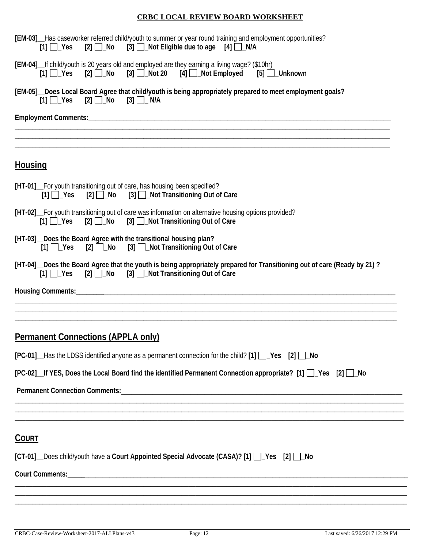| [EM-03] __ Has caseworker referred child/youth to summer or year round training and employment opportunities?<br>$[1]$ $\Box$ Yes $[2]$ $\Box$ No $[3]$ $\Box$ Not Eligible due to age $[4]$ $\Box$ N/A |
|---------------------------------------------------------------------------------------------------------------------------------------------------------------------------------------------------------|
| [EM-04]_If child/youth is 20 years old and employed are they earning a living wage? (\$10hr)<br>$[1]$ $\Box$ Yes                                                                                        |
| [EM-05]_Does Local Board Agree that child/youth is being appropriately prepared to meet employment goals?<br>$[1]$ $\Box$ Yes                                                                           |
|                                                                                                                                                                                                         |
|                                                                                                                                                                                                         |
| <b>Housing</b>                                                                                                                                                                                          |
| [HT-01]_For youth transitioning out of care, has housing been specified?<br>[2] <b>□ No</b> [3] □ Not Transitioning Out of Care<br>$[1]$ $\Box$ Yes                                                     |
| [HT-02] For youth transitioning out of care was information on alternative housing options provided?<br>[1] Yes [2] No [3] Not Transitioning Out of Care                                                |
| [HT-03] Does the Board Agree with the transitional housing plan?<br>$[2]$ No $[3]$ Not Transitioning Out of Care<br>$[1]$ $\Box$ Yes                                                                    |
| [HT-04] Does the Board Agree that the youth is being appropriately prepared for Transitioning out of care (Ready by 21)?<br>$[2]$ No $[3]$ Not Transitioning Out of Care<br>$[1]$ $\Box$ Yes            |
|                                                                                                                                                                                                         |
|                                                                                                                                                                                                         |
| <b>Permanent Connections (APPLA only)</b>                                                                                                                                                               |
| $[PC-01]$ Has the LDSS identified anyone as a permanent connection for the child? $[1]$ $\Box$ Yes $[2]$ $\Box$ No                                                                                      |
| [PC-02]_If YES, Does the Local Board find the identified Permanent Connection appropriate? [1] [ Ves [2] [ No                                                                                           |
|                                                                                                                                                                                                         |
|                                                                                                                                                                                                         |
| <b>COURT</b>                                                                                                                                                                                            |
| [CT-01] Does child/youth have a Court Appointed Special Advocate (CASA)? [1] 2 \es [2] 1 No                                                                                                             |
|                                                                                                                                                                                                         |
|                                                                                                                                                                                                         |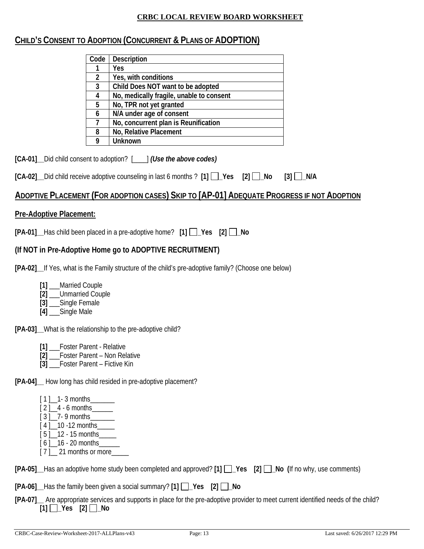### **CHILD'S CONSENT TO ADOPTION (CONCURRENT & PLANS OF ADOPTION)**

| Code | <b>Description</b>                       |
|------|------------------------------------------|
|      | Yes                                      |
| 2    | Yes, with conditions                     |
| 3    | Child Does NOT want to be adopted        |
|      | No, medically fragile, unable to consent |
| 5    | No, TPR not yet granted                  |
| 6    | N/A under age of consent                 |
|      | No, concurrent plan is Reunification     |
| 8    | No, Relative Placement                   |
|      | <b>Unknown</b>                           |

**[CA-01]\_\_**Did child consent to adoption? [\_\_\_\_] *(Use the above codes)*

### **ADOPTIVE PLACEMENT (FOR ADOPTION CASES) SKIP TO [AP-01] ADEQUATE PROGRESS IF NOT ADOPTION**

### **Pre-Adoptive Placement:**

| [PA-01]_Has child been placed in a pre-adoptive home? [1] []_Yes [2] []_No |  |  |
|----------------------------------------------------------------------------|--|--|
|----------------------------------------------------------------------------|--|--|

### **(If NOT in Pre-Adoptive Home go to ADOPTIVE RECRUITMENT)**

**[PA-02]\_\_**If Yes, what is the Family structure of the child's pre-adoptive family? (Choose one below)

- **[1]** \_\_\_Married Couple
- **[2]** \_\_\_Unmarried Couple
- **[3]** \_\_\_Single Female
- **[4]** \_\_\_Single Male

**[PA-03]\_\_**What is the relationship to the pre-adoptive child?

- **[1]** \_\_\_Foster Parent Relative
- **[2]** \_\_\_Foster Parent Non Relative
- **[3] Eoster Parent Fictive Kin**

**[PA-04]\_\_** How long has child resided in pre-adoptive placement?

- $[1]$  1 3 months
- $[2]$   $-4$  6 months \_\_\_\_\_\_\_\_
- [ 3 ] \_ 7- 9 months\_\_\_\_\_\_\_
- [4] 10 -12 months
- [ 5 ] \_\_12 15 months\_\_\_\_\_  $[6]$  16 - 20 months
- $[7]$  21 months or more

|  |  |  |  | [PA-05] Has an adoptive home study been completed and approved? [1] 1 _Pes [2] 1 _No (If no why, use comments) |
|--|--|--|--|----------------------------------------------------------------------------------------------------------------|
|--|--|--|--|----------------------------------------------------------------------------------------------------------------|

 $[PA-06]$  Has the family been given a social summary?  $[1]$   $\Box$  Yes  $[2]$   $\Box$  No

**[PA-07]\_\_** Are appropriate services and supports in place for the pre-adoptive provider to meet current identified needs of the child? **[1] \_Yes [2] \_No**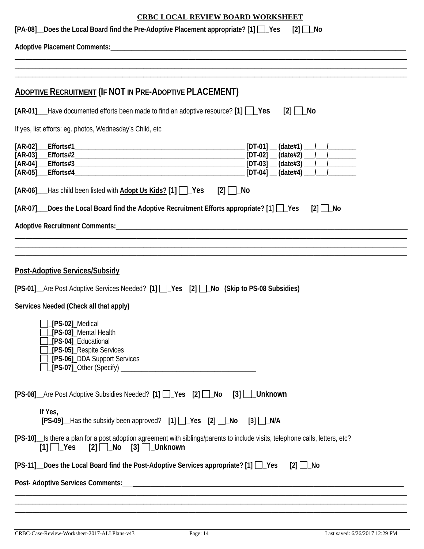| <b>CRBC LOCAL REVIEW BOARD WORKSHEET</b>                                                                                                                                                        |  |  |  |  |  |
|-------------------------------------------------------------------------------------------------------------------------------------------------------------------------------------------------|--|--|--|--|--|
| [PA-08] Does the Local Board find the Pre-Adoptive Placement appropriate? [1] [Cres<br>$[2]$ $\Box$ No                                                                                          |  |  |  |  |  |
|                                                                                                                                                                                                 |  |  |  |  |  |
|                                                                                                                                                                                                 |  |  |  |  |  |
|                                                                                                                                                                                                 |  |  |  |  |  |
| <b>ADOPTIVE RECRUITMENT (IF NOT IN PRE-ADOPTIVE PLACEMENT)</b>                                                                                                                                  |  |  |  |  |  |
| $[AR-01]$ Have documented efforts been made to find an adoptive resource? $[1]$ $\Box$ Yes<br>$[2]$   $\lfloor$ No                                                                              |  |  |  |  |  |
| If yes, list efforts: eg. photos, Wednesday's Child, etc.                                                                                                                                       |  |  |  |  |  |
| $[AR-03]$ Efforts#2 $[DT-02]$ $(date#2)$ $1$                                                                                                                                                    |  |  |  |  |  |
| [AR-06] ___ Has child been listed with <b>Adopt Us Kids?</b> [1] $\Box$ Yes<br>$[2]$ $\Box$ No                                                                                                  |  |  |  |  |  |
| [AR-07] Does the Local Board find the Adoptive Recruitment Efforts appropriate? [1] [ Yes<br>$[2]$ $\Box$ No                                                                                    |  |  |  |  |  |
|                                                                                                                                                                                                 |  |  |  |  |  |
|                                                                                                                                                                                                 |  |  |  |  |  |
|                                                                                                                                                                                                 |  |  |  |  |  |
| <b>Post-Adoptive Services/Subsidy</b>                                                                                                                                                           |  |  |  |  |  |
| [PS-01]_Are Post Adoptive Services Needed? [1] []_Yes [2] []_No (Skip to PS-08 Subsidies)                                                                                                       |  |  |  |  |  |
| Services Needed (Check all that apply)                                                                                                                                                          |  |  |  |  |  |
| <b>Fig. 1.5-02</b> ] Medical<br>[PS-03]_Mental Health<br>[PS-04]_Educational<br>[PS-05] Respite Services<br>[PS-06] DDA Support Services                                                        |  |  |  |  |  |
| [PS-08]_Are Post Adoptive Subsidies Needed? [1] [ ]_Yes [2] [ ]_No [3]   LUnknown                                                                                                               |  |  |  |  |  |
| If Yes,<br>[PS-09]_Has the subsidy been approved? [1] []_Yes [2] []_No [3] []_N/A                                                                                                               |  |  |  |  |  |
| [PS-10]_Is there a plan for a post adoption agreement with siblings/parents to include visits, telephone calls, letters, etc?<br>$[1]$ $\bigcup$ Yes $[2]$ $\bigcup$ No $[3]$ $\bigcup$ Unknown |  |  |  |  |  |
| [PS-11] Does the Local Board find the Post-Adoptive Services appropriate? [1] $\Box$ Yes<br>$[2]$ $\Box$ No                                                                                     |  |  |  |  |  |
|                                                                                                                                                                                                 |  |  |  |  |  |
|                                                                                                                                                                                                 |  |  |  |  |  |
|                                                                                                                                                                                                 |  |  |  |  |  |